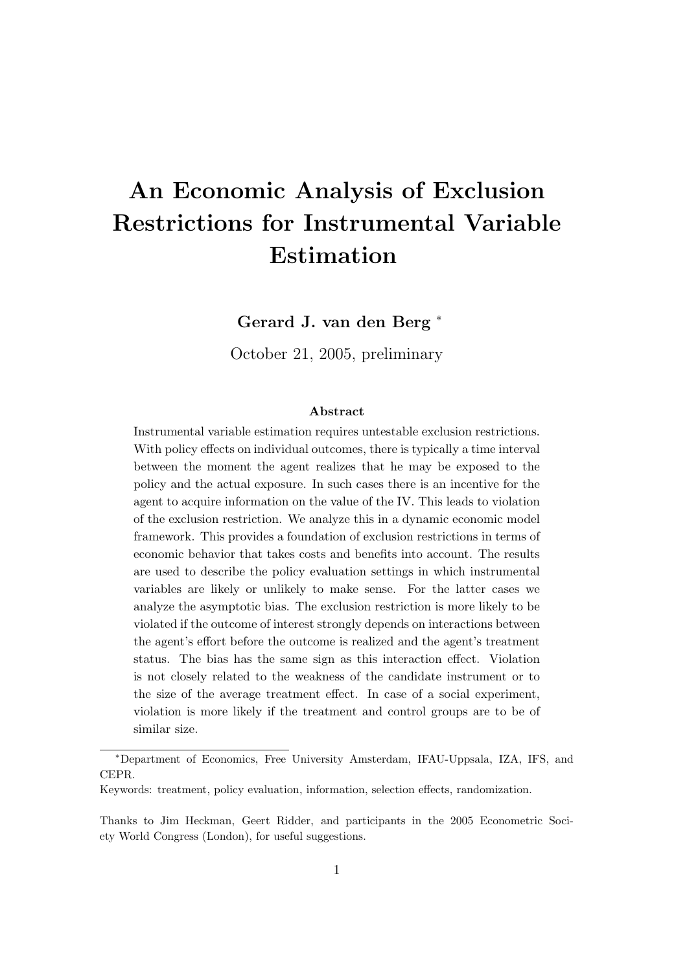# An Economic Analysis of Exclusion Restrictions for Instrumental Variable Estimation

Gerard J. van den Berg <sup>∗</sup>

October 21, 2005, preliminary

#### Abstract

Instrumental variable estimation requires untestable exclusion restrictions. With policy effects on individual outcomes, there is typically a time interval between the moment the agent realizes that he may be exposed to the policy and the actual exposure. In such cases there is an incentive for the agent to acquire information on the value of the IV. This leads to violation of the exclusion restriction. We analyze this in a dynamic economic model framework. This provides a foundation of exclusion restrictions in terms of economic behavior that takes costs and benefits into account. The results are used to describe the policy evaluation settings in which instrumental variables are likely or unlikely to make sense. For the latter cases we analyze the asymptotic bias. The exclusion restriction is more likely to be violated if the outcome of interest strongly depends on interactions between the agent's effort before the outcome is realized and the agent's treatment status. The bias has the same sign as this interaction effect. Violation is not closely related to the weakness of the candidate instrument or to the size of the average treatment effect. In case of a social experiment, violation is more likely if the treatment and control groups are to be of similar size.

<sup>∗</sup>Department of Economics, Free University Amsterdam, IFAU-Uppsala, IZA, IFS, and CEPR.

Keywords: treatment, policy evaluation, information, selection effects, randomization.

Thanks to Jim Heckman, Geert Ridder, and participants in the 2005 Econometric Society World Congress (London), for useful suggestions.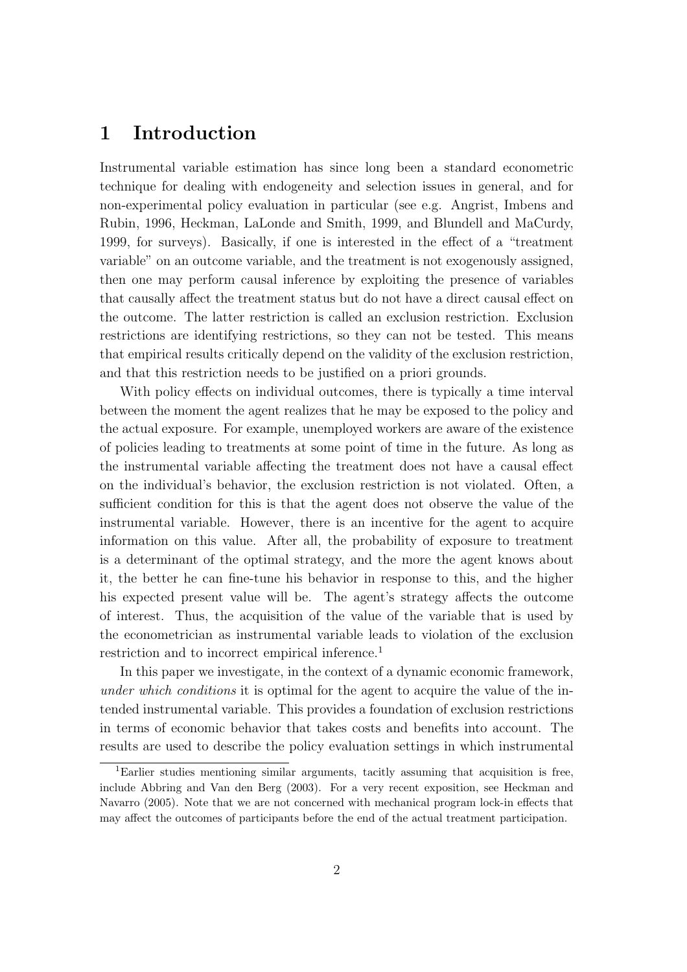## 1 Introduction

Instrumental variable estimation has since long been a standard econometric technique for dealing with endogeneity and selection issues in general, and for non-experimental policy evaluation in particular (see e.g. Angrist, Imbens and Rubin, 1996, Heckman, LaLonde and Smith, 1999, and Blundell and MaCurdy, 1999, for surveys). Basically, if one is interested in the effect of a "treatment variable" on an outcome variable, and the treatment is not exogenously assigned, then one may perform causal inference by exploiting the presence of variables that causally affect the treatment status but do not have a direct causal effect on the outcome. The latter restriction is called an exclusion restriction. Exclusion restrictions are identifying restrictions, so they can not be tested. This means that empirical results critically depend on the validity of the exclusion restriction, and that this restriction needs to be justified on a priori grounds.

With policy effects on individual outcomes, there is typically a time interval between the moment the agent realizes that he may be exposed to the policy and the actual exposure. For example, unemployed workers are aware of the existence of policies leading to treatments at some point of time in the future. As long as the instrumental variable affecting the treatment does not have a causal effect on the individual's behavior, the exclusion restriction is not violated. Often, a sufficient condition for this is that the agent does not observe the value of the instrumental variable. However, there is an incentive for the agent to acquire information on this value. After all, the probability of exposure to treatment is a determinant of the optimal strategy, and the more the agent knows about it, the better he can fine-tune his behavior in response to this, and the higher his expected present value will be. The agent's strategy affects the outcome of interest. Thus, the acquisition of the value of the variable that is used by the econometrician as instrumental variable leads to violation of the exclusion restriction and to incorrect empirical inference.<sup>1</sup>

In this paper we investigate, in the context of a dynamic economic framework, under which conditions it is optimal for the agent to acquire the value of the intended instrumental variable. This provides a foundation of exclusion restrictions in terms of economic behavior that takes costs and benefits into account. The results are used to describe the policy evaluation settings in which instrumental

<sup>1</sup>Earlier studies mentioning similar arguments, tacitly assuming that acquisition is free, include Abbring and Van den Berg (2003). For a very recent exposition, see Heckman and Navarro (2005). Note that we are not concerned with mechanical program lock-in effects that may affect the outcomes of participants before the end of the actual treatment participation.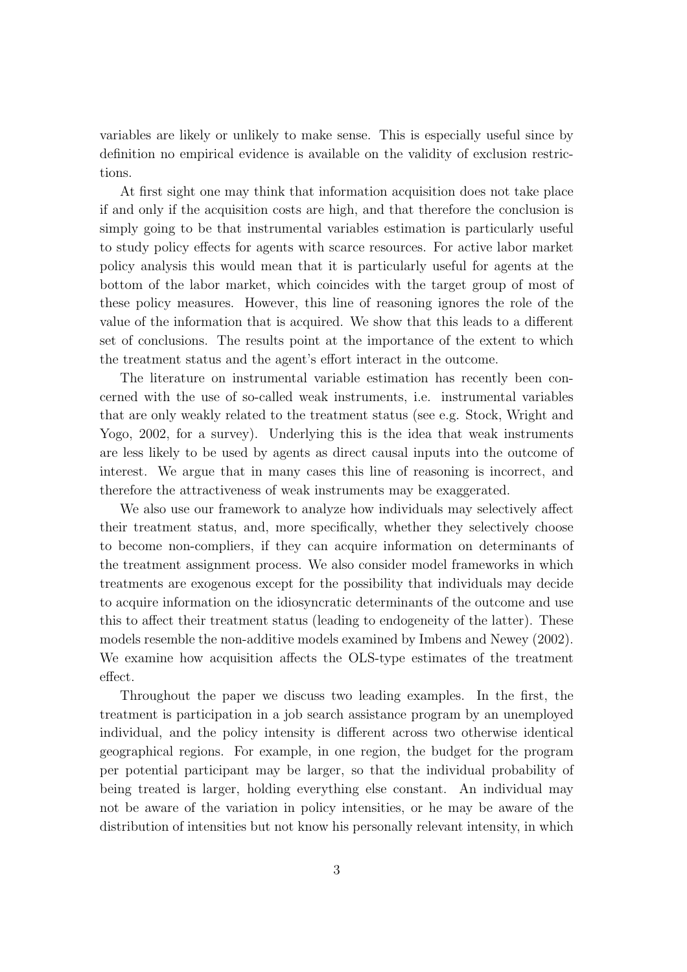variables are likely or unlikely to make sense. This is especially useful since by definition no empirical evidence is available on the validity of exclusion restrictions.

At first sight one may think that information acquisition does not take place if and only if the acquisition costs are high, and that therefore the conclusion is simply going to be that instrumental variables estimation is particularly useful to study policy effects for agents with scarce resources. For active labor market policy analysis this would mean that it is particularly useful for agents at the bottom of the labor market, which coincides with the target group of most of these policy measures. However, this line of reasoning ignores the role of the value of the information that is acquired. We show that this leads to a different set of conclusions. The results point at the importance of the extent to which the treatment status and the agent's effort interact in the outcome.

The literature on instrumental variable estimation has recently been concerned with the use of so-called weak instruments, i.e. instrumental variables that are only weakly related to the treatment status (see e.g. Stock, Wright and Yogo, 2002, for a survey). Underlying this is the idea that weak instruments are less likely to be used by agents as direct causal inputs into the outcome of interest. We argue that in many cases this line of reasoning is incorrect, and therefore the attractiveness of weak instruments may be exaggerated.

We also use our framework to analyze how individuals may selectively affect their treatment status, and, more specifically, whether they selectively choose to become non-compliers, if they can acquire information on determinants of the treatment assignment process. We also consider model frameworks in which treatments are exogenous except for the possibility that individuals may decide to acquire information on the idiosyncratic determinants of the outcome and use this to affect their treatment status (leading to endogeneity of the latter). These models resemble the non-additive models examined by Imbens and Newey (2002). We examine how acquisition affects the OLS-type estimates of the treatment effect.

Throughout the paper we discuss two leading examples. In the first, the treatment is participation in a job search assistance program by an unemployed individual, and the policy intensity is different across two otherwise identical geographical regions. For example, in one region, the budget for the program per potential participant may be larger, so that the individual probability of being treated is larger, holding everything else constant. An individual may not be aware of the variation in policy intensities, or he may be aware of the distribution of intensities but not know his personally relevant intensity, in which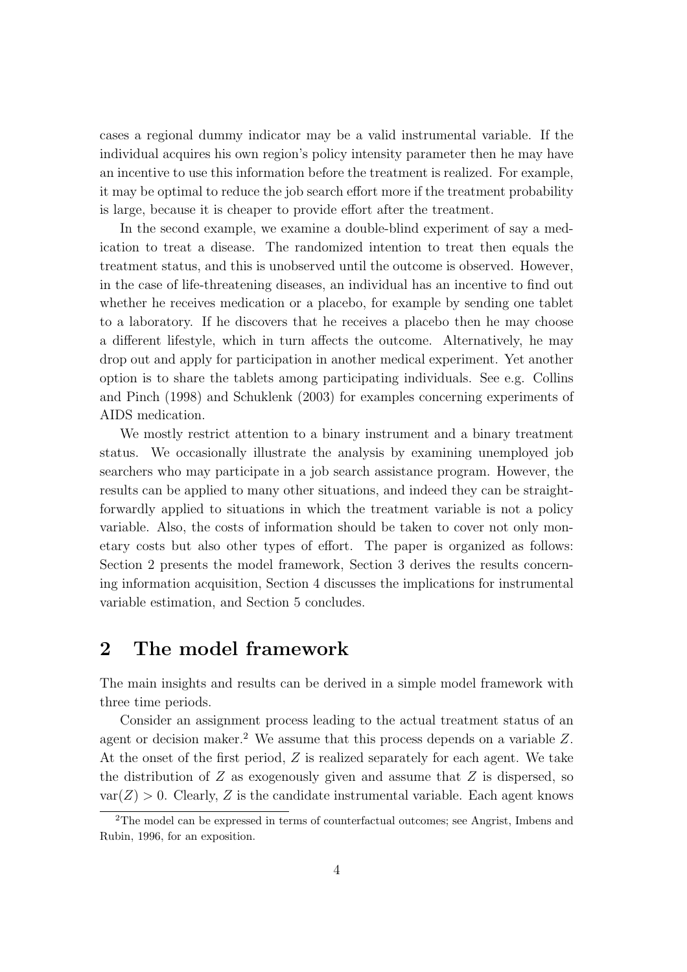cases a regional dummy indicator may be a valid instrumental variable. If the individual acquires his own region's policy intensity parameter then he may have an incentive to use this information before the treatment is realized. For example, it may be optimal to reduce the job search effort more if the treatment probability is large, because it is cheaper to provide effort after the treatment.

In the second example, we examine a double-blind experiment of say a medication to treat a disease. The randomized intention to treat then equals the treatment status, and this is unobserved until the outcome is observed. However, in the case of life-threatening diseases, an individual has an incentive to find out whether he receives medication or a placebo, for example by sending one tablet to a laboratory. If he discovers that he receives a placebo then he may choose a different lifestyle, which in turn affects the outcome. Alternatively, he may drop out and apply for participation in another medical experiment. Yet another option is to share the tablets among participating individuals. See e.g. Collins and Pinch (1998) and Schuklenk (2003) for examples concerning experiments of AIDS medication.

We mostly restrict attention to a binary instrument and a binary treatment status. We occasionally illustrate the analysis by examining unemployed job searchers who may participate in a job search assistance program. However, the results can be applied to many other situations, and indeed they can be straightforwardly applied to situations in which the treatment variable is not a policy variable. Also, the costs of information should be taken to cover not only monetary costs but also other types of effort. The paper is organized as follows: Section 2 presents the model framework, Section 3 derives the results concerning information acquisition, Section 4 discusses the implications for instrumental variable estimation, and Section 5 concludes.

## 2 The model framework

The main insights and results can be derived in a simple model framework with three time periods.

Consider an assignment process leading to the actual treatment status of an agent or decision maker.<sup>2</sup> We assume that this process depends on a variable  $Z$ . At the onset of the first period, Z is realized separately for each agent. We take the distribution of  $Z$  as exogenously given and assume that  $Z$  is dispersed, so  $var(Z) > 0$ . Clearly, Z is the candidate instrumental variable. Each agent knows

<sup>2</sup>The model can be expressed in terms of counterfactual outcomes; see Angrist, Imbens and Rubin, 1996, for an exposition.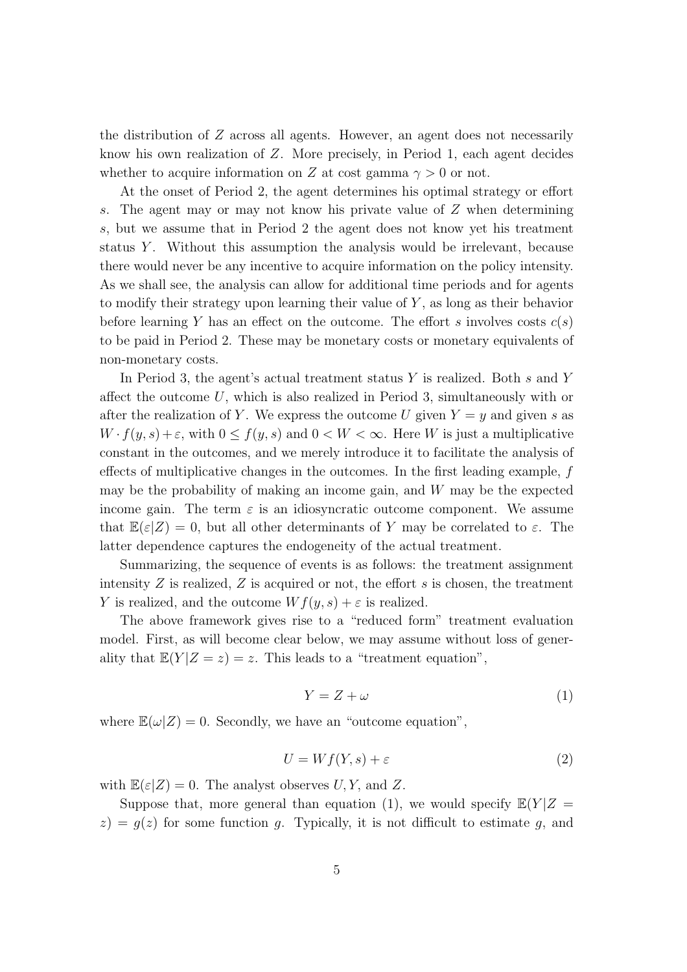the distribution of  $Z$  across all agents. However, an agent does not necessarily know his own realization of Z. More precisely, in Period 1, each agent decides whether to acquire information on Z at cost gamma  $\gamma > 0$  or not.

At the onset of Period 2, the agent determines his optimal strategy or effort s. The agent may or may not know his private value of Z when determining s, but we assume that in Period 2 the agent does not know yet his treatment status Y. Without this assumption the analysis would be irrelevant, because there would never be any incentive to acquire information on the policy intensity. As we shall see, the analysis can allow for additional time periods and for agents to modify their strategy upon learning their value of Y , as long as their behavior before learning Y has an effect on the outcome. The effort s involves costs  $c(s)$ to be paid in Period 2. These may be monetary costs or monetary equivalents of non-monetary costs.

In Period 3, the agent's actual treatment status  $Y$  is realized. Both  $s$  and  $Y$ affect the outcome U, which is also realized in Period 3, simultaneously with or after the realization of Y. We express the outcome U given  $Y = y$  and given s as  $W \cdot f(y, s) + \varepsilon$ , with  $0 \le f(y, s)$  and  $0 < W < \infty$ . Here W is just a multiplicative constant in the outcomes, and we merely introduce it to facilitate the analysis of effects of multiplicative changes in the outcomes. In the first leading example, f may be the probability of making an income gain, and  $W$  may be the expected income gain. The term  $\varepsilon$  is an idiosyncratic outcome component. We assume that  $\mathbb{E}(\varepsilon|Z) = 0$ , but all other determinants of Y may be correlated to  $\varepsilon$ . The latter dependence captures the endogeneity of the actual treatment.

Summarizing, the sequence of events is as follows: the treatment assignment intensity  $Z$  is realized,  $Z$  is acquired or not, the effort  $s$  is chosen, the treatment Y is realized, and the outcome  $W f(y, s) + \varepsilon$  is realized.

The above framework gives rise to a "reduced form" treatment evaluation model. First, as will become clear below, we may assume without loss of generality that  $\mathbb{E}(Y|Z=z)=z$ . This leads to a "treatment equation",

$$
Y = Z + \omega \tag{1}
$$

where  $\mathbb{E}(\omega|Z) = 0$ . Secondly, we have an "outcome equation",

$$
U = Wf(Y, s) + \varepsilon \tag{2}
$$

with  $\mathbb{E}(\varepsilon|Z) = 0$ . The analyst observes U, Y, and Z.

Suppose that, more general than equation (1), we would specify  $\mathbb{E}(Y|Z =$  $z$ ) =  $g(z)$  for some function g. Typically, it is not difficult to estimate g, and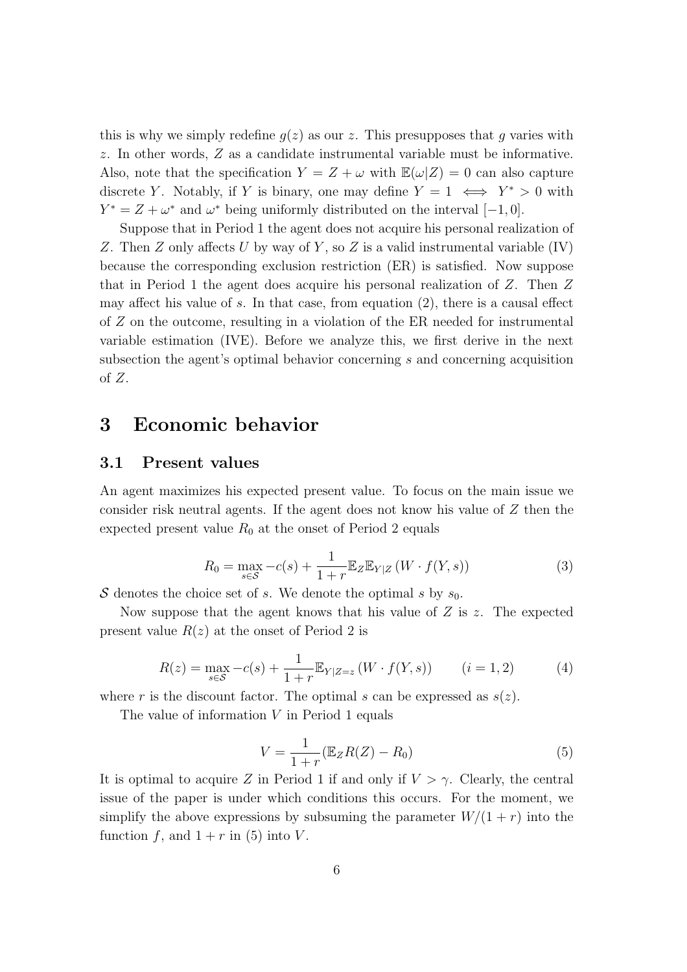this is why we simply redefine  $q(z)$  as our z. This presupposes that q varies with z. In other words, Z as a candidate instrumental variable must be informative. Also, note that the specification  $Y = Z + \omega$  with  $\mathbb{E}(\omega|Z) = 0$  can also capture discrete Y. Notably, if Y is binary, one may define  $Y = 1 \iff Y^* > 0$  with  $Y^* = Z + \omega^*$  and  $\omega^*$  being uniformly distributed on the interval  $[-1, 0]$ .

Suppose that in Period 1 the agent does not acquire his personal realization of Z. Then Z only affects U by way of Y, so Z is a valid instrumental variable  $(IV)$ because the corresponding exclusion restriction (ER) is satisfied. Now suppose that in Period 1 the agent does acquire his personal realization of Z. Then Z may affect his value of  $s$ . In that case, from equation  $(2)$ , there is a causal effect of Z on the outcome, resulting in a violation of the ER needed for instrumental variable estimation (IVE). Before we analyze this, we first derive in the next subsection the agent's optimal behavior concerning s and concerning acquisition of  $Z$ .

## 3 Economic behavior

#### 3.1 Present values

An agent maximizes his expected present value. To focus on the main issue we consider risk neutral agents. If the agent does not know his value of Z then the expected present value  $R_0$  at the onset of Period 2 equals

$$
R_0 = \max_{s \in \mathcal{S}} -c(s) + \frac{1}{1+r} \mathbb{E}_Z \mathbb{E}_{Y|Z} \left( W \cdot f(Y, s) \right) \tag{3}
$$

S denotes the choice set of s. We denote the optimal s by  $s_0$ .

Now suppose that the agent knows that his value of  $Z$  is  $z$ . The expected present value  $R(z)$  at the onset of Period 2 is

$$
R(z) = \max_{s \in S} -c(s) + \frac{1}{1+r} \mathbb{E}_{Y|Z=z} \left( W \cdot f(Y,s) \right) \qquad (i = 1, 2) \tag{4}
$$

where r is the discount factor. The optimal s can be expressed as  $s(z)$ .

The value of information V in Period 1 equals

$$
V = \frac{1}{1+r} (\mathbb{E}_Z R(Z) - R_0)
$$
\n<sup>(5)</sup>

It is optimal to acquire Z in Period 1 if and only if  $V > \gamma$ . Clearly, the central issue of the paper is under which conditions this occurs. For the moment, we simplify the above expressions by subsuming the parameter  $W/(1 + r)$  into the function f, and  $1 + r$  in (5) into V.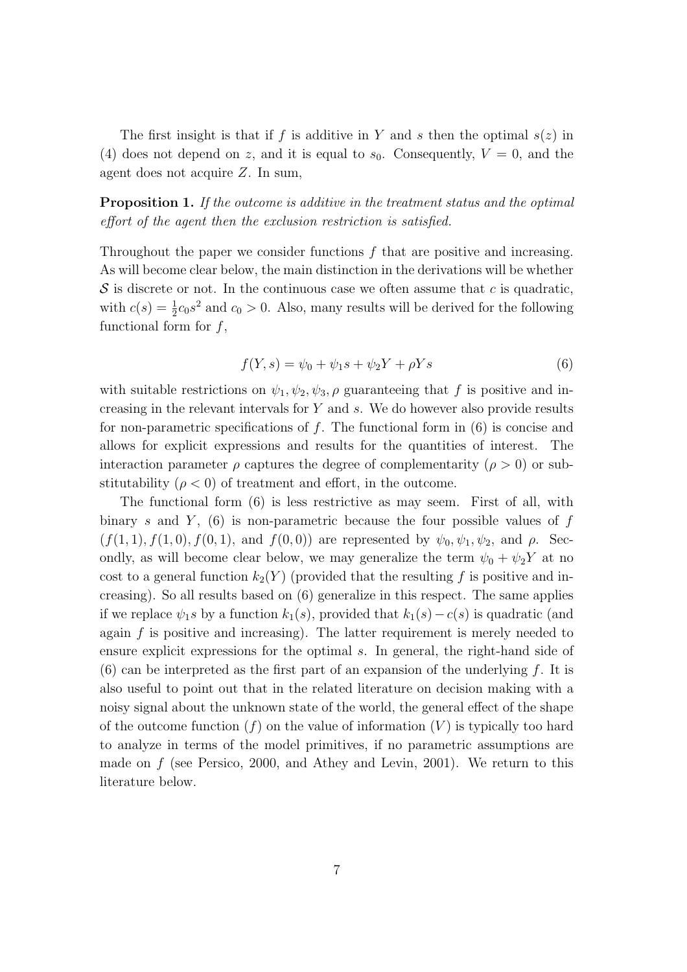The first insight is that if f is additive in Y and s then the optimal  $s(z)$  in (4) does not depend on z, and it is equal to  $s_0$ . Consequently,  $V = 0$ , and the agent does not acquire Z. In sum,

Proposition 1. If the outcome is additive in the treatment status and the optimal effort of the agent then the exclusion restriction is satisfied.

Throughout the paper we consider functions  $f$  that are positive and increasing. As will become clear below, the main distinction in the derivations will be whether  $S$  is discrete or not. In the continuous case we often assume that c is quadratic, with  $c(s) = \frac{1}{2}c_0s^2$  and  $c_0 > 0$ . Also, many results will be derived for the following functional form for  $f$ ,

$$
f(Y,s) = \psi_0 + \psi_1 s + \psi_2 Y + \rho Y s \tag{6}
$$

with suitable restrictions on  $\psi_1, \psi_2, \psi_3, \rho$  guaranteeing that f is positive and increasing in the relevant intervals for Y and s. We do however also provide results for non-parametric specifications of  $f$ . The functional form in  $(6)$  is concise and allows for explicit expressions and results for the quantities of interest. The interaction parameter  $\rho$  captures the degree of complementarity ( $\rho > 0$ ) or substitutability  $(\rho < 0)$  of treatment and effort, in the outcome.

The functional form (6) is less restrictive as may seem. First of all, with binary s and Y,  $(6)$  is non-parametric because the four possible values of f  $(f(1, 1), f(1, 0), f(0, 1), \text{ and } f(0, 0))$  are represented by  $\psi_0, \psi_1, \psi_2$ , and  $\rho$ . Secondly, as will become clear below, we may generalize the term  $\psi_0 + \psi_2 Y$  at no cost to a general function  $k_2(Y)$  (provided that the resulting f is positive and increasing). So all results based on (6) generalize in this respect. The same applies if we replace  $\psi_1$ s by a function  $k_1(s)$ , provided that  $k_1(s) - c(s)$  is quadratic (and again  $f$  is positive and increasing). The latter requirement is merely needed to ensure explicit expressions for the optimal s. In general, the right-hand side of  $(6)$  can be interpreted as the first part of an expansion of the underlying f. It is also useful to point out that in the related literature on decision making with a noisy signal about the unknown state of the world, the general effect of the shape of the outcome function  $(f)$  on the value of information  $(V)$  is typically too hard to analyze in terms of the model primitives, if no parametric assumptions are made on  $f$  (see Persico, 2000, and Athey and Levin, 2001). We return to this literature below.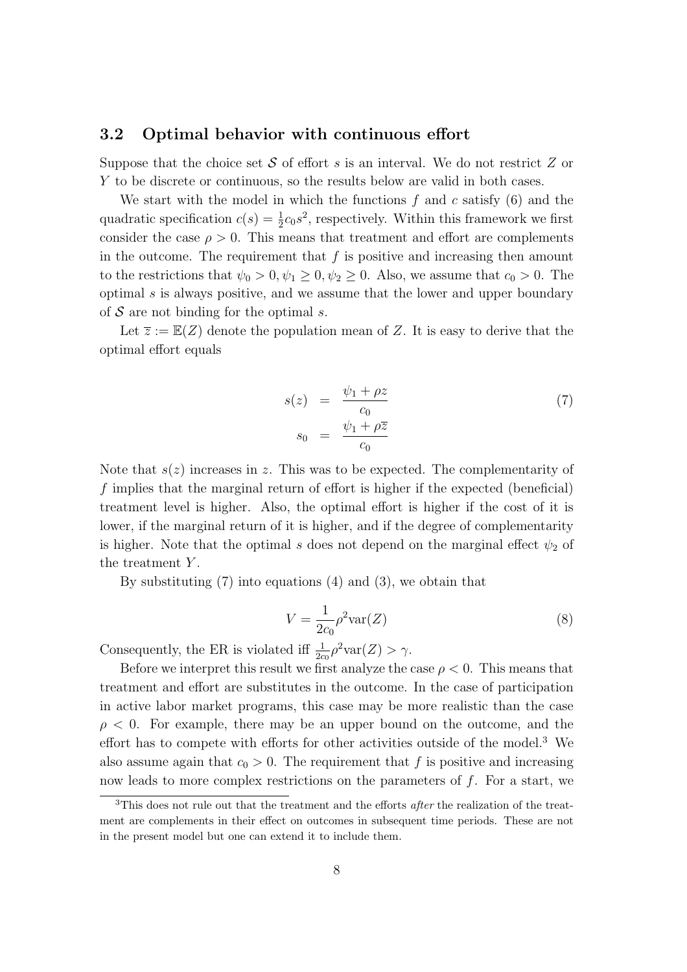#### 3.2 Optimal behavior with continuous effort

Suppose that the choice set  $S$  of effort s is an interval. We do not restrict  $Z$  or Y to be discrete or continuous, so the results below are valid in both cases.

We start with the model in which the functions  $f$  and  $c$  satisfy (6) and the quadratic specification  $c(s) = \frac{1}{2}c_0s^2$ , respectively. Within this framework we first consider the case  $\rho > 0$ . This means that treatment and effort are complements in the outcome. The requirement that  $f$  is positive and increasing then amount to the restrictions that  $\psi_0 > 0, \psi_1 \geq 0, \psi_2 \geq 0$ . Also, we assume that  $c_0 > 0$ . The optimal s is always positive, and we assume that the lower and upper boundary of  $S$  are not binding for the optimal s.

Let  $\overline{z} := \mathbb{E}(Z)$  denote the population mean of Z. It is easy to derive that the optimal effort equals

$$
s(z) = \frac{\psi_1 + \rho z}{c_0}
$$
  
\n
$$
s_0 = \frac{\psi_1 + \rho \overline{z}}{c_0}
$$
\n(7)

Note that  $s(z)$  increases in z. This was to be expected. The complementarity of f implies that the marginal return of effort is higher if the expected (beneficial) treatment level is higher. Also, the optimal effort is higher if the cost of it is lower, if the marginal return of it is higher, and if the degree of complementarity is higher. Note that the optimal s does not depend on the marginal effect  $\psi_2$  of the treatment Y.

By substituting (7) into equations (4) and (3), we obtain that

$$
V = \frac{1}{2c_0} \rho^2 \text{var}(Z)
$$
\n(8)

Consequently, the ER is violated iff  $\frac{1}{2c_0} \rho^2 \text{var}(Z) > \gamma$ .

Before we interpret this result we first analyze the case  $\rho < 0$ . This means that treatment and effort are substitutes in the outcome. In the case of participation in active labor market programs, this case may be more realistic than the case  $\rho < 0$ . For example, there may be an upper bound on the outcome, and the effort has to compete with efforts for other activities outside of the model.<sup>3</sup> We also assume again that  $c_0 > 0$ . The requirement that f is positive and increasing now leads to more complex restrictions on the parameters of f. For a start, we

<sup>&</sup>lt;sup>3</sup>This does not rule out that the treatment and the efforts *after* the realization of the treatment are complements in their effect on outcomes in subsequent time periods. These are not in the present model but one can extend it to include them.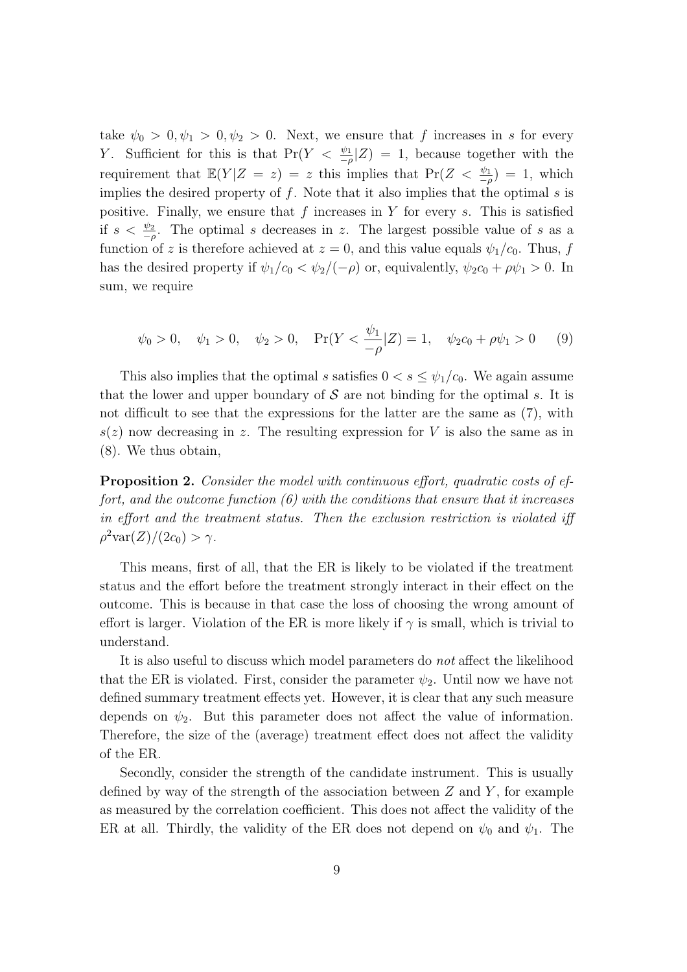take  $\psi_0 > 0, \psi_1 > 0, \psi_2 > 0$ . Next, we ensure that f increases in s for every Y. Sufficient for this is that  $Pr(Y < \frac{\psi_1}{-\rho}|Z) = 1$ , because together with the requirement that  $\mathbb{E}(Y|Z = z) = z$  this implies that  $\Pr(Z < \frac{\psi_1}{-\rho}) = 1$ , which implies the desired property of  $f$ . Note that it also implies that the optimal  $s$  is positive. Finally, we ensure that f increases in Y for every s. This is satisfied if  $s < \frac{\psi_2}{-\rho}$ . The optimal s decreases in z. The largest possible value of s as a function of z is therefore achieved at  $z = 0$ , and this value equals  $\psi_1/c_0$ . Thus, f has the desired property if  $\psi_1/c_0 < \psi_2/(-\rho)$  or, equivalently,  $\psi_2 c_0 + \rho \psi_1 > 0$ . In sum, we require

$$
\psi_0 > 0, \quad \psi_1 > 0, \quad \psi_2 > 0, \quad \Pr(Y < \frac{\psi_1}{-\rho} | Z) = 1, \quad \psi_2 c_0 + \rho \psi_1 > 0 \tag{9}
$$

This also implies that the optimal s satisfies  $0 < s \leq \psi_1/c_0$ . We again assume that the lower and upper boundary of  $S$  are not binding for the optimal s. It is not difficult to see that the expressions for the latter are the same as (7), with  $s(z)$  now decreasing in z. The resulting expression for V is also the same as in (8). We thus obtain,

Proposition 2. Consider the model with continuous effort, quadratic costs of effort, and the outcome function  $(6)$  with the conditions that ensure that it increases in effort and the treatment status. Then the exclusion restriction is violated iff  $\rho^2 \text{var}(Z)/(2c_0) > \gamma.$ 

This means, first of all, that the ER is likely to be violated if the treatment status and the effort before the treatment strongly interact in their effect on the outcome. This is because in that case the loss of choosing the wrong amount of effort is larger. Violation of the ER is more likely if  $\gamma$  is small, which is trivial to understand.

It is also useful to discuss which model parameters do not affect the likelihood that the ER is violated. First, consider the parameter  $\psi_2$ . Until now we have not defined summary treatment effects yet. However, it is clear that any such measure depends on  $\psi_2$ . But this parameter does not affect the value of information. Therefore, the size of the (average) treatment effect does not affect the validity of the ER.

Secondly, consider the strength of the candidate instrument. This is usually defined by way of the strength of the association between  $Z$  and  $Y$ , for example as measured by the correlation coefficient. This does not affect the validity of the ER at all. Thirdly, the validity of the ER does not depend on  $\psi_0$  and  $\psi_1$ . The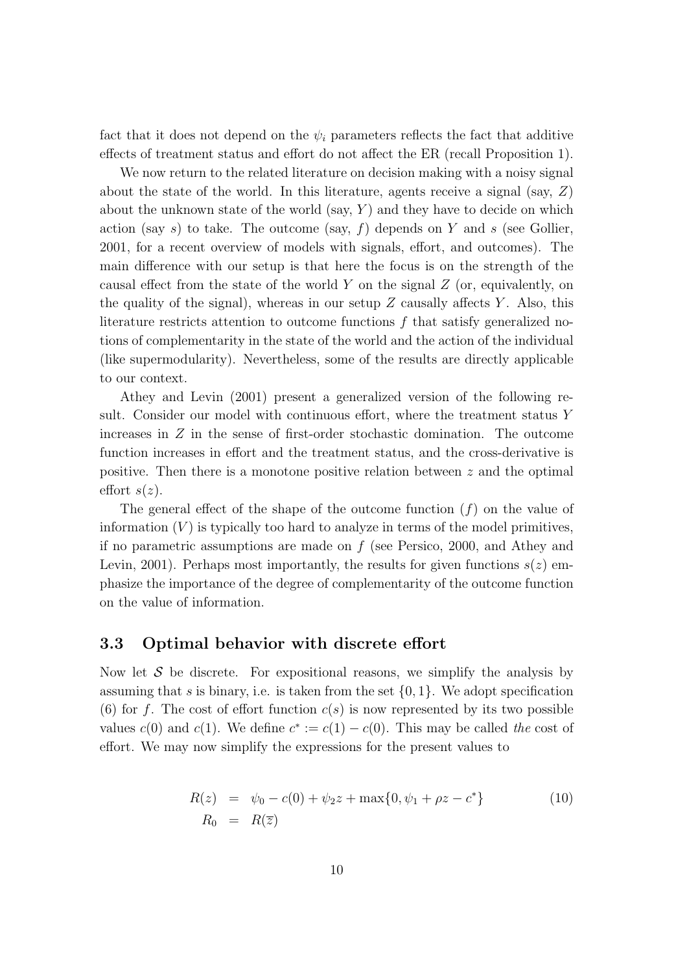fact that it does not depend on the  $\psi_i$  parameters reflects the fact that additive effects of treatment status and effort do not affect the ER (recall Proposition 1).

We now return to the related literature on decision making with a noisy signal about the state of the world. In this literature, agents receive a signal (say, Z) about the unknown state of the world (say,  $Y$ ) and they have to decide on which action (say s) to take. The outcome (say,  $f$ ) depends on Y and s (see Gollier, 2001, for a recent overview of models with signals, effort, and outcomes). The main difference with our setup is that here the focus is on the strength of the causal effect from the state of the world  $Y$  on the signal  $Z$  (or, equivalently, on the quality of the signal), whereas in our setup  $Z$  causally affects  $Y$ . Also, this literature restricts attention to outcome functions f that satisfy generalized notions of complementarity in the state of the world and the action of the individual (like supermodularity). Nevertheless, some of the results are directly applicable to our context.

Athey and Levin (2001) present a generalized version of the following result. Consider our model with continuous effort, where the treatment status Y increases in Z in the sense of first-order stochastic domination. The outcome function increases in effort and the treatment status, and the cross-derivative is positive. Then there is a monotone positive relation between  $z$  and the optimal effort  $s(z)$ .

The general effect of the shape of the outcome function  $(f)$  on the value of information  $(V)$  is typically too hard to analyze in terms of the model primitives, if no parametric assumptions are made on  $f$  (see Persico, 2000, and Athey and Levin, 2001). Perhaps most importantly, the results for given functions  $s(z)$  emphasize the importance of the degree of complementarity of the outcome function on the value of information.

#### 3.3 Optimal behavior with discrete effort

Now let  $S$  be discrete. For expositional reasons, we simplify the analysis by assuming that s is binary, i.e. is taken from the set  $\{0, 1\}$ . We adopt specification (6) for f. The cost of effort function  $c(s)$  is now represented by its two possible values  $c(0)$  and  $c(1)$ . We define  $c^* := c(1) - c(0)$ . This may be called the cost of effort. We may now simplify the expressions for the present values to

$$
R(z) = \psi_0 - c(0) + \psi_2 z + \max\{0, \psi_1 + \rho z - c^*\}
$$
  
\n
$$
R_0 = R(\overline{z})
$$
\n(10)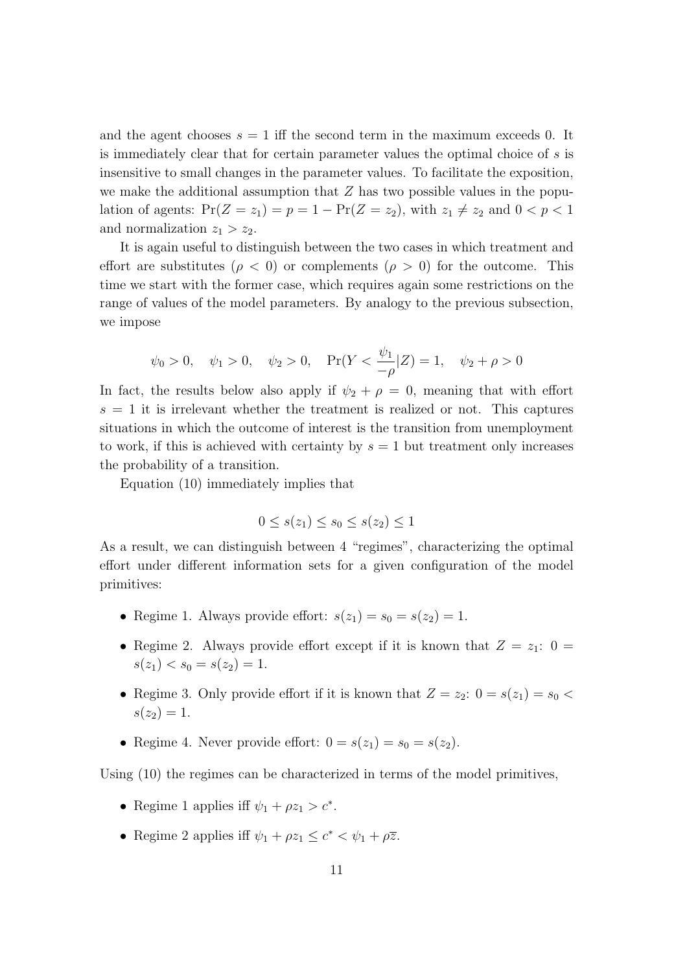and the agent chooses  $s = 1$  iff the second term in the maximum exceeds 0. It is immediately clear that for certain parameter values the optimal choice of s is insensitive to small changes in the parameter values. To facilitate the exposition, we make the additional assumption that  $Z$  has two possible values in the population of agents:  $Pr(Z = z_1) = p = 1 - Pr(Z = z_2)$ , with  $z_1 \neq z_2$  and  $0 < p < 1$ and normalization  $z_1 > z_2$ .

It is again useful to distinguish between the two cases in which treatment and effort are substitutes ( $\rho < 0$ ) or complements ( $\rho > 0$ ) for the outcome. This time we start with the former case, which requires again some restrictions on the range of values of the model parameters. By analogy to the previous subsection, we impose

$$
\psi_0 > 0
$$
,  $\psi_1 > 0$ ,  $\psi_2 > 0$ ,  $Pr(Y < \frac{\psi_1}{-\rho}|Z) = 1$ ,  $\psi_2 + \rho > 0$ 

In fact, the results below also apply if  $\psi_2 + \rho = 0$ , meaning that with effort  $s = 1$  it is irrelevant whether the treatment is realized or not. This captures situations in which the outcome of interest is the transition from unemployment to work, if this is achieved with certainty by  $s = 1$  but treatment only increases the probability of a transition.

Equation (10) immediately implies that

$$
0 \le s(z_1) \le s_0 \le s(z_2) \le 1
$$

As a result, we can distinguish between 4 "regimes", characterizing the optimal effort under different information sets for a given configuration of the model primitives:

- Regime 1. Always provide effort:  $s(z_1) = s_0 = s(z_2) = 1$ .
- Regime 2. Always provide effort except if it is known that  $Z = z_1: 0 =$  $s(z_1) < s_0 = s(z_2) = 1.$
- Regime 3. Only provide effort if it is known that  $Z = z_2$ :  $0 = s(z_1) = s_0$  $s(z_2) = 1.$
- Regime 4. Never provide effort:  $0 = s(z_1) = s_0 = s(z_2)$ .

Using (10) the regimes can be characterized in terms of the model primitives,

- Regime 1 applies iff  $\psi_1 + \rho z_1 > c^*$ .
- Regime 2 applies iff  $\psi_1 + \rho z_1 \leq c^* < \psi_1 + \rho \overline{z}$ .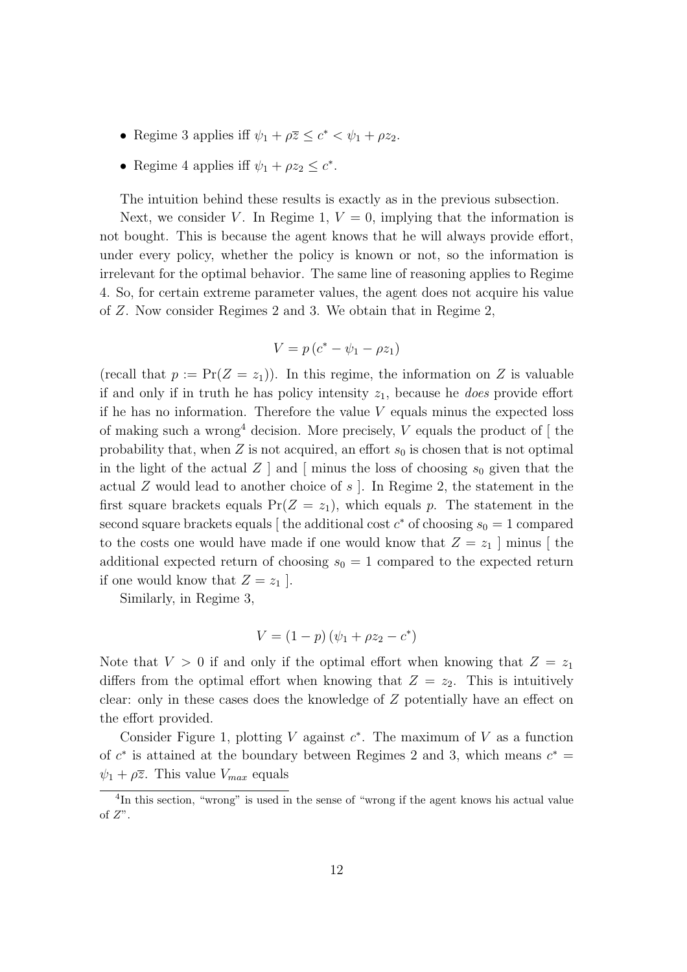- Regime 3 applies iff  $\psi_1 + \rho \overline{z} \leq c^* < \psi_1 + \rho z_2$ .
- Regime 4 applies iff  $\psi_1 + \rho z_2 \leq c^*$ .

The intuition behind these results is exactly as in the previous subsection.

Next, we consider V. In Regime 1,  $V = 0$ , implying that the information is not bought. This is because the agent knows that he will always provide effort, under every policy, whether the policy is known or not, so the information is irrelevant for the optimal behavior. The same line of reasoning applies to Regime 4. So, for certain extreme parameter values, the agent does not acquire his value of Z. Now consider Regimes 2 and 3. We obtain that in Regime 2,

$$
V = p(c^* - \psi_1 - \rho z_1)
$$

(recall that  $p := \Pr(Z = z_1)$ ). In this regime, the information on Z is valuable if and only if in truth he has policy intensity  $z_1$ , because he *does* provide effort if he has no information. Therefore the value  $V$  equals minus the expected loss of making such a wrong<sup>4</sup> decision. More precisely,  $V$  equals the product of  $[$  the probability that, when  $Z$  is not acquired, an effort  $s_0$  is chosen that is not optimal in the light of the actual Z | and | minus the loss of choosing  $s_0$  given that the actual Z would lead to another choice of s  $\vert$ . In Regime 2, the statement in the first square brackets equals  $Pr(Z = z_1)$ , which equals p. The statement in the second square brackets equals [ the additional cost  $c^*$  of choosing  $s_0 = 1$  compared to the costs one would have made if one would know that  $Z = z_1$  minus [the additional expected return of choosing  $s_0 = 1$  compared to the expected return if one would know that  $Z = z_1$ .

Similarly, in Regime 3,

$$
V = (1 - p)(\psi_1 + \rho z_2 - c^*)
$$

Note that  $V > 0$  if and only if the optimal effort when knowing that  $Z = z<sub>1</sub>$ differs from the optimal effort when knowing that  $Z = z_2$ . This is intuitively clear: only in these cases does the knowledge of Z potentially have an effect on the effort provided.

Consider Figure 1, plotting V against  $c^*$ . The maximum of V as a function of  $c^*$  is attained at the boundary between Regimes 2 and 3, which means  $c^* =$  $\psi_1 + \rho \overline{z}$ . This value  $V_{max}$  equals

<sup>&</sup>lt;sup>4</sup>In this section, "wrong" is used in the sense of "wrong if the agent knows his actual value of  $Z$ ".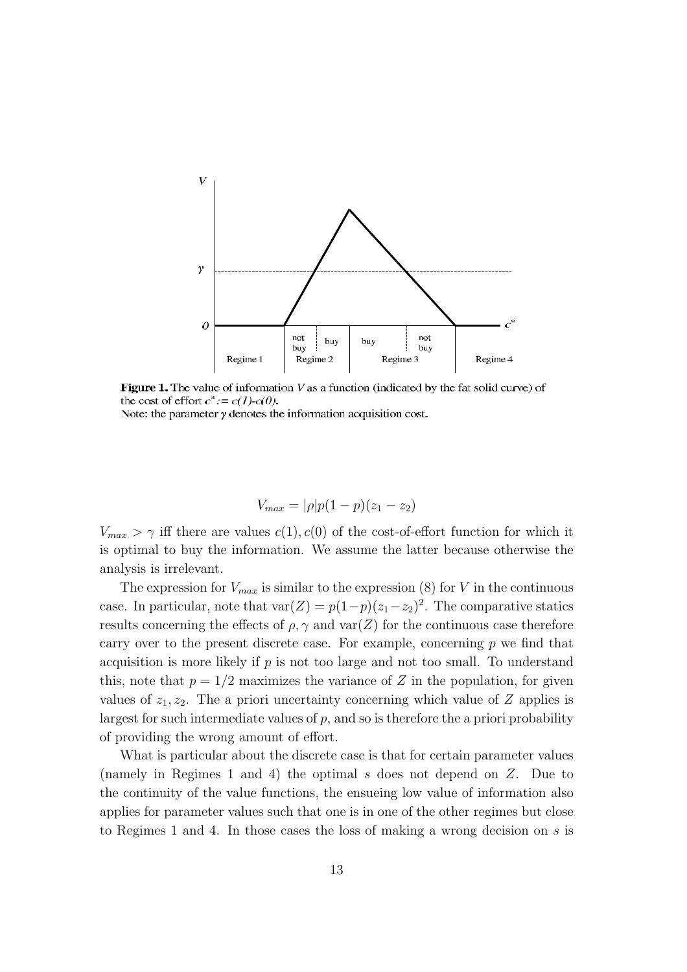

**Figure 1.** The value of information  $V$  as a function (indicated by the fat solid curve) of the cost of effort  $c^* := c(1) - c(0)$ .

Note: the parameter  $\gamma$  denotes the information acquisition cost.

$$
V_{max} = |\rho|p(1-p)(z_1 - z_2)
$$

 $V_{max} > \gamma$  iff there are values  $c(1), c(0)$  of the cost-of-effort function for which it is optimal to buy the information. We assume the latter because otherwise the analysis is irrelevant.

The expression for  $V_{max}$  is similar to the expression (8) for V in the continuous case. In particular, note that  $var(Z) = p(1-p)(z_1-z_2)^2$ . The comparative statics results concerning the effects of  $\rho$ ,  $\gamma$  and var(Z) for the continuous case therefore carry over to the present discrete case. For example, concerning  $p$  we find that acquisition is more likely if  $p$  is not too large and not too small. To understand this, note that  $p = 1/2$  maximizes the variance of Z in the population, for given values of  $z_1, z_2$ . The a priori uncertainty concerning which value of Z applies is largest for such intermediate values of  $p$ , and so is therefore the a priori probability of providing the wrong amount of effort.

What is particular about the discrete case is that for certain parameter values (namely in Regimes 1 and 4) the optimal s does not depend on Z. Due to the continuity of the value functions, the ensueing low value of information also applies for parameter values such that one is in one of the other regimes but close to Regimes 1 and 4. In those cases the loss of making a wrong decision on s is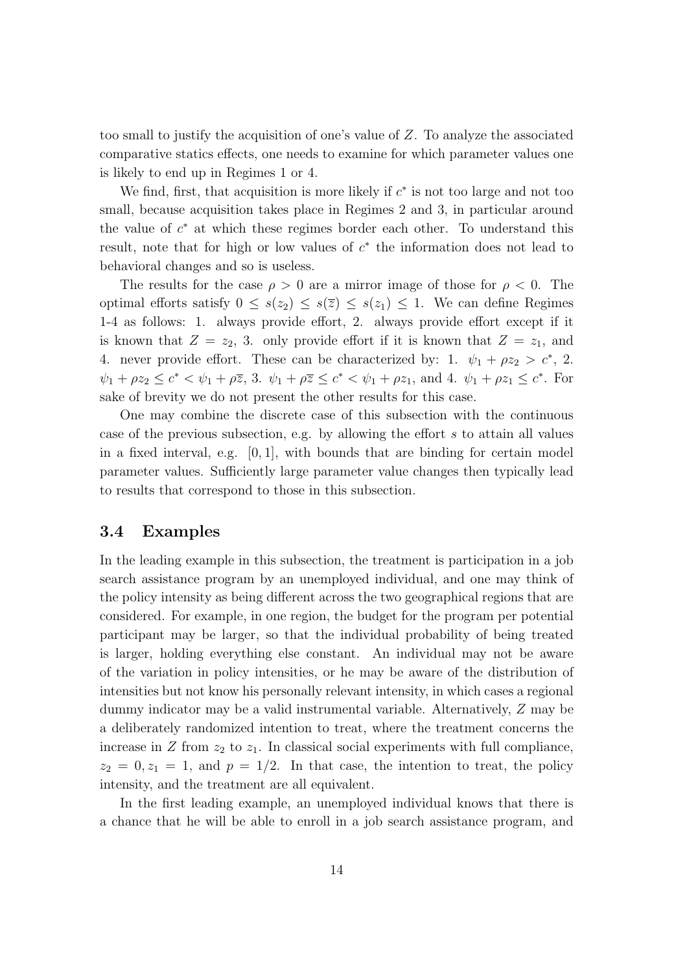too small to justify the acquisition of one's value of Z. To analyze the associated comparative statics effects, one needs to examine for which parameter values one is likely to end up in Regimes 1 or 4.

We find, first, that acquisition is more likely if  $c^*$  is not too large and not too small, because acquisition takes place in Regimes 2 and 3, in particular around the value of  $c^*$  at which these regimes border each other. To understand this result, note that for high or low values of  $c^*$  the information does not lead to behavioral changes and so is useless.

The results for the case  $\rho > 0$  are a mirror image of those for  $\rho < 0$ . The optimal efforts satisfy  $0 \leq s(z_2) \leq s(\overline{z}) \leq s(z_1) \leq 1$ . We can define Regimes 1-4 as follows: 1. always provide effort, 2. always provide effort except if it is known that  $Z = z_2$ , 3. only provide effort if it is known that  $Z = z_1$ , and 4. never provide effort. These can be characterized by: 1.  $\psi_1 + \rho z_2 > c^*$ , 2.  $\psi_1 + \rho z_2 \leq c^* < \psi_1 + \rho \overline{z}$ , 3.  $\psi_1 + \rho \overline{z} \leq c^* < \psi_1 + \rho z_1$ , and 4.  $\psi_1 + \rho z_1 \leq c^*$ . For sake of brevity we do not present the other results for this case.

One may combine the discrete case of this subsection with the continuous case of the previous subsection, e.g. by allowing the effort s to attain all values in a fixed interval, e.g. [0, 1], with bounds that are binding for certain model parameter values. Sufficiently large parameter value changes then typically lead to results that correspond to those in this subsection.

#### 3.4 Examples

In the leading example in this subsection, the treatment is participation in a job search assistance program by an unemployed individual, and one may think of the policy intensity as being different across the two geographical regions that are considered. For example, in one region, the budget for the program per potential participant may be larger, so that the individual probability of being treated is larger, holding everything else constant. An individual may not be aware of the variation in policy intensities, or he may be aware of the distribution of intensities but not know his personally relevant intensity, in which cases a regional dummy indicator may be a valid instrumental variable. Alternatively, Z may be a deliberately randomized intention to treat, where the treatment concerns the increase in  $Z$  from  $z_2$  to  $z_1$ . In classical social experiments with full compliance,  $z_2 = 0, z_1 = 1$ , and  $p = 1/2$ . In that case, the intention to treat, the policy intensity, and the treatment are all equivalent.

In the first leading example, an unemployed individual knows that there is a chance that he will be able to enroll in a job search assistance program, and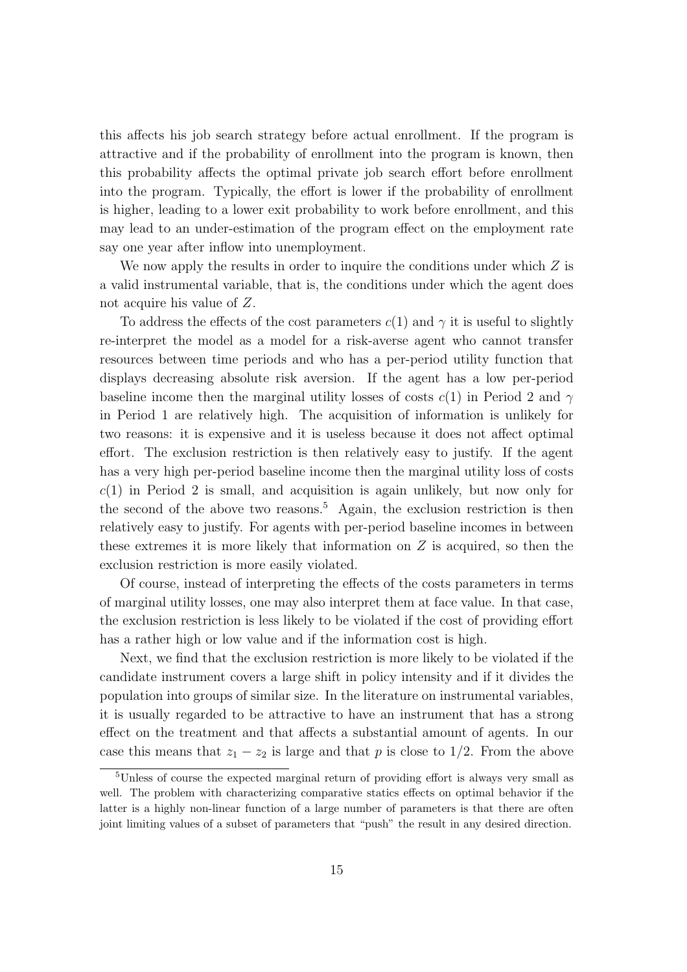this affects his job search strategy before actual enrollment. If the program is attractive and if the probability of enrollment into the program is known, then this probability affects the optimal private job search effort before enrollment into the program. Typically, the effort is lower if the probability of enrollment is higher, leading to a lower exit probability to work before enrollment, and this may lead to an under-estimation of the program effect on the employment rate say one year after inflow into unemployment.

We now apply the results in order to inquire the conditions under which  $Z$  is a valid instrumental variable, that is, the conditions under which the agent does not acquire his value of Z.

To address the effects of the cost parameters  $c(1)$  and  $\gamma$  it is useful to slightly re-interpret the model as a model for a risk-averse agent who cannot transfer resources between time periods and who has a per-period utility function that displays decreasing absolute risk aversion. If the agent has a low per-period baseline income then the marginal utility losses of costs  $c(1)$  in Period 2 and  $\gamma$ in Period 1 are relatively high. The acquisition of information is unlikely for two reasons: it is expensive and it is useless because it does not affect optimal effort. The exclusion restriction is then relatively easy to justify. If the agent has a very high per-period baseline income then the marginal utility loss of costs  $c(1)$  in Period 2 is small, and acquisition is again unlikely, but now only for the second of the above two reasons.<sup>5</sup> Again, the exclusion restriction is then relatively easy to justify. For agents with per-period baseline incomes in between these extremes it is more likely that information on  $Z$  is acquired, so then the exclusion restriction is more easily violated.

Of course, instead of interpreting the effects of the costs parameters in terms of marginal utility losses, one may also interpret them at face value. In that case, the exclusion restriction is less likely to be violated if the cost of providing effort has a rather high or low value and if the information cost is high.

Next, we find that the exclusion restriction is more likely to be violated if the candidate instrument covers a large shift in policy intensity and if it divides the population into groups of similar size. In the literature on instrumental variables, it is usually regarded to be attractive to have an instrument that has a strong effect on the treatment and that affects a substantial amount of agents. In our case this means that  $z_1 - z_2$  is large and that p is close to 1/2. From the above

<sup>5</sup>Unless of course the expected marginal return of providing effort is always very small as well. The problem with characterizing comparative statics effects on optimal behavior if the latter is a highly non-linear function of a large number of parameters is that there are often joint limiting values of a subset of parameters that "push" the result in any desired direction.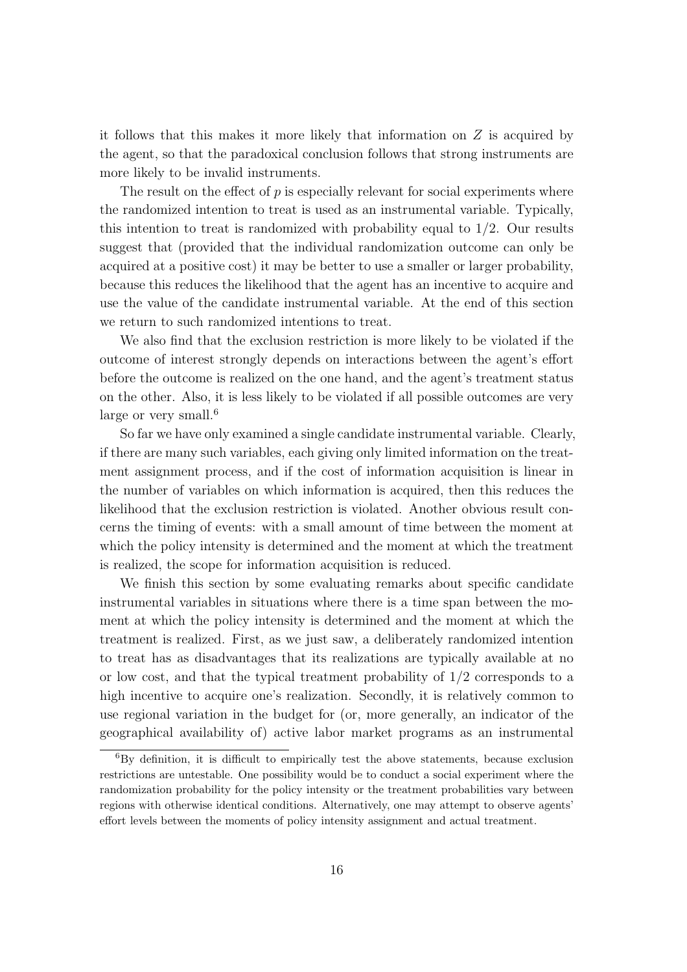it follows that this makes it more likely that information on  $Z$  is acquired by the agent, so that the paradoxical conclusion follows that strong instruments are more likely to be invalid instruments.

The result on the effect of  $p$  is especially relevant for social experiments where the randomized intention to treat is used as an instrumental variable. Typically, this intention to treat is randomized with probability equal to  $1/2$ . Our results suggest that (provided that the individual randomization outcome can only be acquired at a positive cost) it may be better to use a smaller or larger probability, because this reduces the likelihood that the agent has an incentive to acquire and use the value of the candidate instrumental variable. At the end of this section we return to such randomized intentions to treat.

We also find that the exclusion restriction is more likely to be violated if the outcome of interest strongly depends on interactions between the agent's effort before the outcome is realized on the one hand, and the agent's treatment status on the other. Also, it is less likely to be violated if all possible outcomes are very large or very small.<sup>6</sup>

So far we have only examined a single candidate instrumental variable. Clearly, if there are many such variables, each giving only limited information on the treatment assignment process, and if the cost of information acquisition is linear in the number of variables on which information is acquired, then this reduces the likelihood that the exclusion restriction is violated. Another obvious result concerns the timing of events: with a small amount of time between the moment at which the policy intensity is determined and the moment at which the treatment is realized, the scope for information acquisition is reduced.

We finish this section by some evaluating remarks about specific candidate instrumental variables in situations where there is a time span between the moment at which the policy intensity is determined and the moment at which the treatment is realized. First, as we just saw, a deliberately randomized intention to treat has as disadvantages that its realizations are typically available at no or low cost, and that the typical treatment probability of 1/2 corresponds to a high incentive to acquire one's realization. Secondly, it is relatively common to use regional variation in the budget for (or, more generally, an indicator of the geographical availability of) active labor market programs as an instrumental

 ${}^{6}$ By definition, it is difficult to empirically test the above statements, because exclusion restrictions are untestable. One possibility would be to conduct a social experiment where the randomization probability for the policy intensity or the treatment probabilities vary between regions with otherwise identical conditions. Alternatively, one may attempt to observe agents' effort levels between the moments of policy intensity assignment and actual treatment.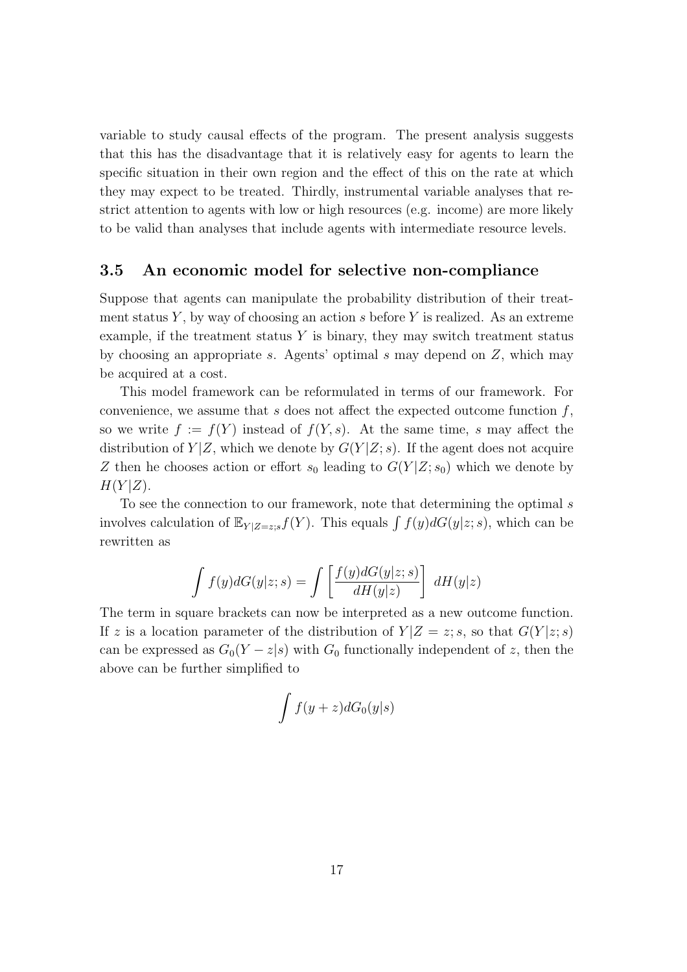variable to study causal effects of the program. The present analysis suggests that this has the disadvantage that it is relatively easy for agents to learn the specific situation in their own region and the effect of this on the rate at which they may expect to be treated. Thirdly, instrumental variable analyses that restrict attention to agents with low or high resources (e.g. income) are more likely to be valid than analyses that include agents with intermediate resource levels.

#### 3.5 An economic model for selective non-compliance

Suppose that agents can manipulate the probability distribution of their treatment status Y, by way of choosing an action s before Y is realized. As an extreme example, if the treatment status  $Y$  is binary, they may switch treatment status by choosing an appropriate s. Agents' optimal s may depend on  $Z$ , which may be acquired at a cost.

This model framework can be reformulated in terms of our framework. For convenience, we assume that s does not affect the expected outcome function  $f$ , so we write  $f := f(Y)$  instead of  $f(Y, s)$ . At the same time, s may affect the distribution of  $Y|Z$ , which we denote by  $G(Y|Z; s)$ . If the agent does not acquire Z then he chooses action or effort  $s_0$  leading to  $G(Y|Z; s_0)$  which we denote by  $H(Y|Z)$ .

To see the connection to our framework, note that determining the optimal s It is the connection to our framework, note that determining the optimal s<br>involves calculation of  $\mathbb{E}_{Y|Z=z,s} f(Y)$ . This equals  $\int f(y)dG(y|z; s)$ , which can be rewritten as

$$
\int f(y)dG(y|z;s) = \int \left[\frac{f(y)dG(y|z;s)}{dH(y|z)}\right] dH(y|z)
$$

The term in square brackets can now be interpreted as a new outcome function. If z is a location parameter of the distribution of  $Y|Z=z; s$ , so that  $G(Y|z; s)$ can be expressed as  $G_0(Y-z|s)$  with  $G_0$  functionally independent of z, then the above can be further simplified to

$$
\int f(y+z)dG_0(y|s)
$$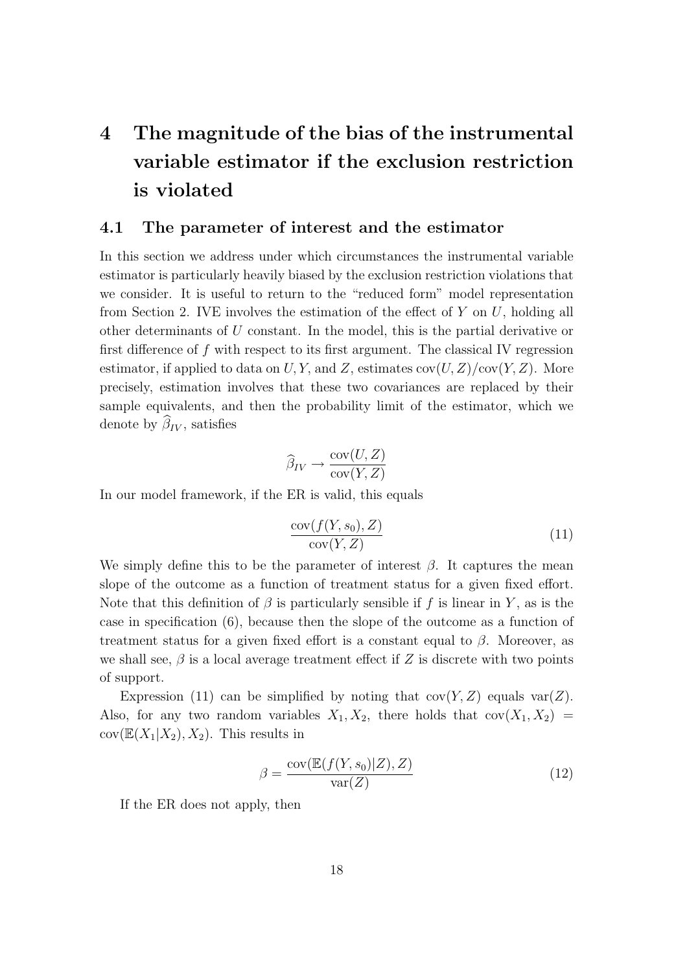## 4 The magnitude of the bias of the instrumental variable estimator if the exclusion restriction is violated

#### 4.1 The parameter of interest and the estimator

In this section we address under which circumstances the instrumental variable estimator is particularly heavily biased by the exclusion restriction violations that we consider. It is useful to return to the "reduced form" model representation from Section 2. IVE involves the estimation of the effect of  $Y$  on  $U$ , holding all other determinants of U constant. In the model, this is the partial derivative or first difference of f with respect to its first argument. The classical IV regression estimator, if applied to data on U, Y, and Z, estimates  $cov(U, Z)/cov(Y, Z)$ . More precisely, estimation involves that these two covariances are replaced by their sample equivalents, and then the probability limit of the estimator, which we denote by  $\widehat{\beta}_{IV}$ , satisfies

$$
\widehat{\beta}_{IV} \to \frac{\text{cov}(U, Z)}{\text{cov}(Y, Z)}
$$

In our model framework, if the ER is valid, this equals

$$
\frac{\text{cov}(f(Y, s_0), Z)}{\text{cov}(Y, Z)}\tag{11}
$$

We simply define this to be the parameter of interest  $\beta$ . It captures the mean slope of the outcome as a function of treatment status for a given fixed effort. Note that this definition of  $\beta$  is particularly sensible if f is linear in Y, as is the case in specification (6), because then the slope of the outcome as a function of treatment status for a given fixed effort is a constant equal to  $\beta$ . Moreover, as we shall see,  $\beta$  is a local average treatment effect if Z is discrete with two points of support.

Expression (11) can be simplified by noting that  $cov(Y, Z)$  equals  $var(Z)$ . Also, for any two random variables  $X_1, X_2$ , there holds that  $cov(X_1, X_2)$  $cov(\mathbb{E}(X_1|X_2), X_2)$ . This results in

$$
\beta = \frac{\text{cov}(\mathbb{E}(f(Y, s_0)|Z), Z)}{\text{var}(Z)}\tag{12}
$$

If the ER does not apply, then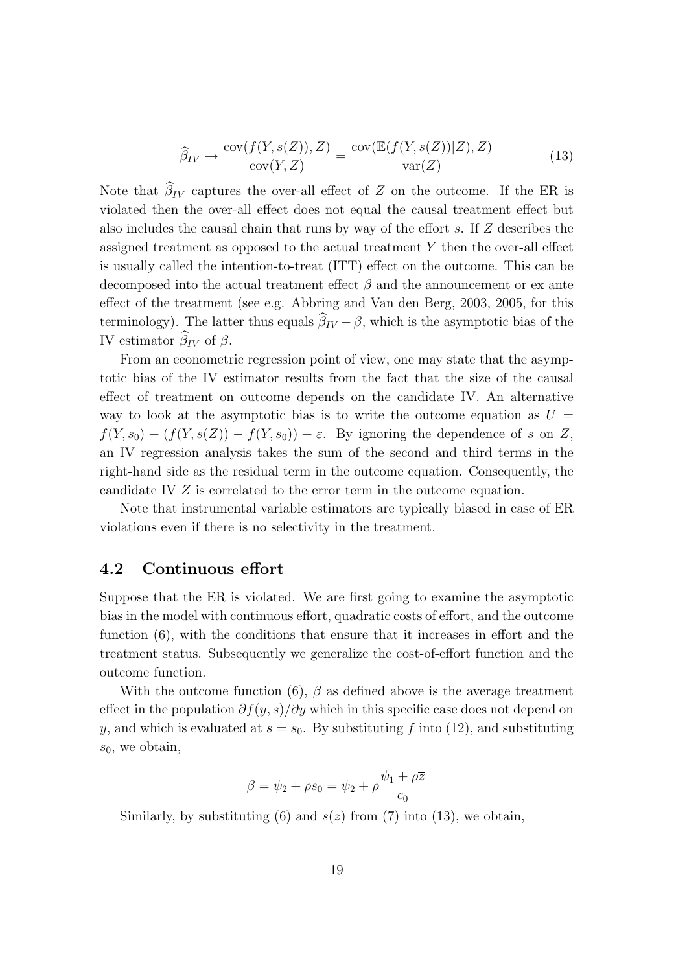$$
\widehat{\beta}_{IV} \to \frac{\text{cov}(f(Y, s(Z)), Z)}{\text{cov}(Y, Z)} = \frac{\text{cov}(\mathbb{E}(f(Y, s(Z))|Z), Z)}{\text{var}(Z)}\tag{13}
$$

Note that  $\widehat{\beta}_{IV}$  captures the over-all effect of Z on the outcome. If the ER is violated then the over-all effect does not equal the causal treatment effect but also includes the causal chain that runs by way of the effort s. If  $Z$  describes the assigned treatment as opposed to the actual treatment Y then the over-all effect is usually called the intention-to-treat (ITT) effect on the outcome. This can be decomposed into the actual treatment effect  $\beta$  and the announcement or ex ante effect of the treatment (see e.g. Abbring and Van den Berg, 2003, 2005, for this terminology). The latter thus equals  $\widehat{\beta}_{IV} - \beta$ , which is the asymptotic bias of the IV estimator  $\hat{\beta}_{IV}$  of  $\beta$ .

From an econometric regression point of view, one may state that the asymptotic bias of the IV estimator results from the fact that the size of the causal effect of treatment on outcome depends on the candidate IV. An alternative way to look at the asymptotic bias is to write the outcome equation as  $U =$  $f(Y, s_0) + (f(Y, s(Z)) - f(Y, s_0)) + \varepsilon$ . By ignoring the dependence of s on Z, an IV regression analysis takes the sum of the second and third terms in the right-hand side as the residual term in the outcome equation. Consequently, the candidate IV Z is correlated to the error term in the outcome equation.

Note that instrumental variable estimators are typically biased in case of ER violations even if there is no selectivity in the treatment.

#### 4.2 Continuous effort

Suppose that the ER is violated. We are first going to examine the asymptotic bias in the model with continuous effort, quadratic costs of effort, and the outcome function (6), with the conditions that ensure that it increases in effort and the treatment status. Subsequently we generalize the cost-of-effort function and the outcome function.

With the outcome function (6),  $\beta$  as defined above is the average treatment effect in the population  $\partial f(y, s)/\partial y$  which in this specific case does not depend on y, and which is evaluated at  $s = s_0$ . By substituting f into (12), and substituting  $s_0$ , we obtain,

$$
\beta = \psi_2 + \rho s_0 = \psi_2 + \rho \frac{\psi_1 + \rho \overline{z}}{c_0}
$$

Similarly, by substituting (6) and  $s(z)$  from (7) into (13), we obtain,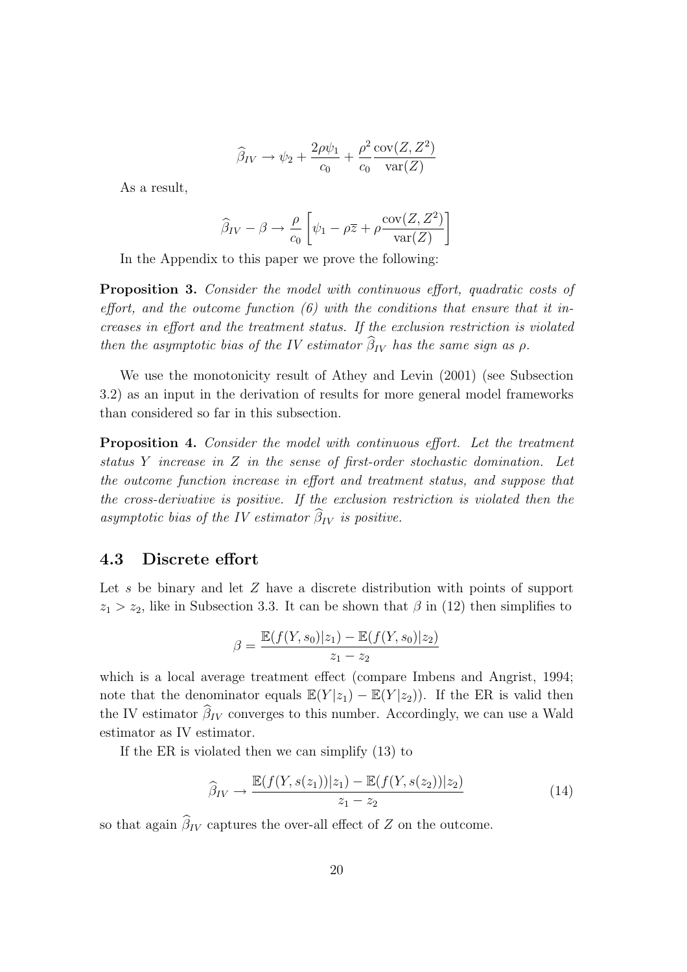$$
\widehat{\beta}_{IV} \rightarrow \psi_2 + \frac{2\rho\psi_1}{c_0} + \frac{\rho^2}{c_0} \frac{\text{cov}(Z, Z^2)}{\text{var}(Z)}
$$

As a result,

$$
\widehat{\beta}_{IV} - \beta \rightarrow \frac{\rho}{c_0} \left[ \psi_1 - \rho \overline{z} + \rho \frac{\text{cov}(Z, Z^2)}{\text{var}(Z)} \right]
$$

In the Appendix to this paper we prove the following:

Proposition 3. Consider the model with continuous effort, quadratic costs of effort, and the outcome function  $(6)$  with the conditions that ensure that it increases in effort and the treatment status. If the exclusion restriction is violated then the asymptotic bias of the IV estimator  $\hat{\beta}_{IV}$  has the same sign as  $\rho$ .

We use the monotonicity result of Athey and Levin (2001) (see Subsection 3.2) as an input in the derivation of results for more general model frameworks than considered so far in this subsection.

Proposition 4. Consider the model with continuous effort. Let the treatment status Y increase in Z in the sense of first-order stochastic domination. Let the outcome function increase in effort and treatment status, and suppose that the cross-derivative is positive. If the exclusion restriction is violated then the asymptotic bias of the IV estimator  $\widehat{\beta}_{IV}$  is positive.

#### 4.3 Discrete effort

Let s be binary and let Z have a discrete distribution with points of support  $z_1 > z_2$ , like in Subsection 3.3. It can be shown that  $\beta$  in (12) then simplifies to

$$
\beta = \frac{\mathbb{E}(f(Y, s_0)|z_1) - \mathbb{E}(f(Y, s_0)|z_2)}{z_1 - z_2}
$$

which is a local average treatment effect (compare Imbens and Angrist, 1994; note that the denominator equals  $\mathbb{E}(Y|z_1) - \mathbb{E}(Y|z_2)$ . If the ER is valid then the IV estimator  $\widehat{\beta}_{IV}$  converges to this number. Accordingly, we can use a Wald estimator as IV estimator.

If the ER is violated then we can simplify (13) to

$$
\widehat{\beta}_{IV} \to \frac{\mathbb{E}(f(Y, s(z_1))|z_1) - \mathbb{E}(f(Y, s(z_2))|z_2)}{z_1 - z_2} \tag{14}
$$

so that again  $\widehat{\beta}_{IV}$  captures the over-all effect of Z on the outcome.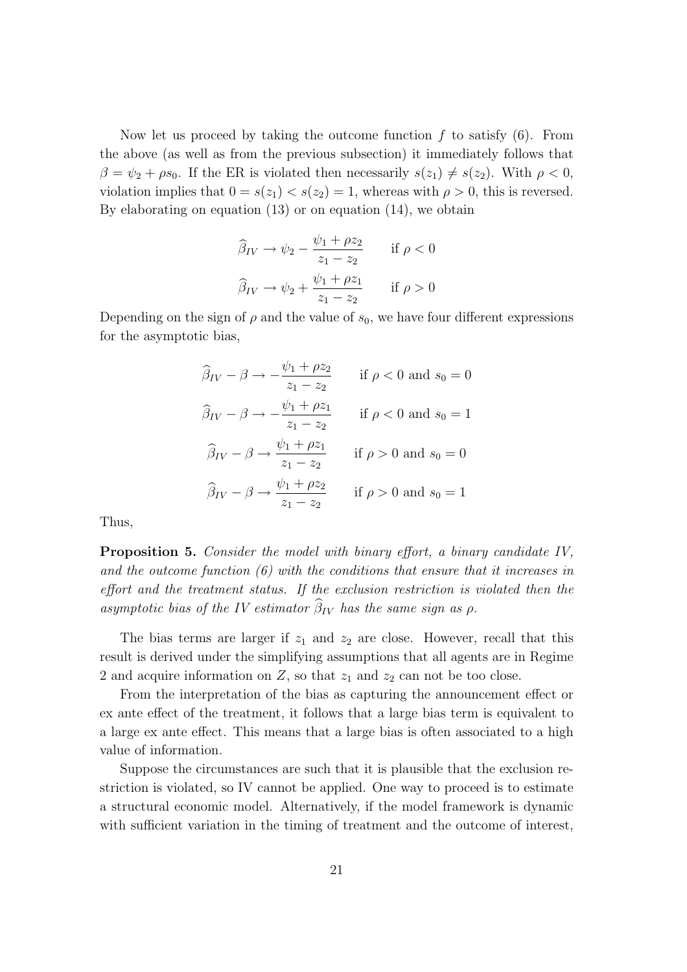Now let us proceed by taking the outcome function  $f$  to satisfy  $(6)$ . From the above (as well as from the previous subsection) it immediately follows that  $\beta = \psi_2 + \rho s_0$ . If the ER is violated then necessarily  $s(z_1) \neq s(z_2)$ . With  $\rho < 0$ , violation implies that  $0 = s(z_1) < s(z_2) = 1$ , whereas with  $\rho > 0$ , this is reversed. By elaborating on equation (13) or on equation (14), we obtain

$$
\widehat{\beta}_{IV} \to \psi_2 - \frac{\psi_1 + \rho z_2}{z_1 - z_2} \quad \text{if } \rho < 0
$$

$$
\widehat{\beta}_{IV} \to \psi_2 + \frac{\psi_1 + \rho z_1}{z_1 - z_2} \quad \text{if } \rho > 0
$$

Depending on the sign of  $\rho$  and the value of  $s_0$ , we have four different expressions for the asymptotic bias,

$$
\widehat{\beta}_{IV} - \beta \rightarrow -\frac{\psi_1 + \rho z_2}{z_1 - z_2} \quad \text{if } \rho < 0 \text{ and } s_0 = 0
$$
  

$$
\widehat{\beta}_{IV} - \beta \rightarrow -\frac{\psi_1 + \rho z_1}{z_1 - z_2} \quad \text{if } \rho < 0 \text{ and } s_0 = 1
$$
  

$$
\widehat{\beta}_{IV} - \beta \rightarrow \frac{\psi_1 + \rho z_1}{z_1 - z_2} \quad \text{if } \rho > 0 \text{ and } s_0 = 0
$$
  

$$
\widehat{\beta}_{IV} - \beta \rightarrow \frac{\psi_1 + \rho z_2}{z_1 - z_2} \quad \text{if } \rho > 0 \text{ and } s_0 = 1
$$

Thus,

Proposition 5. Consider the model with binary effort, a binary candidate IV, and the outcome function  $(6)$  with the conditions that ensure that it increases in effort and the treatment status. If the exclusion restriction is violated then the asymptotic bias of the IV estimator  $\widehat{\beta}_{IV}$  has the same sign as  $\rho$ .

The bias terms are larger if  $z_1$  and  $z_2$  are close. However, recall that this result is derived under the simplifying assumptions that all agents are in Regime 2 and acquire information on  $Z$ , so that  $z_1$  and  $z_2$  can not be too close.

From the interpretation of the bias as capturing the announcement effect or ex ante effect of the treatment, it follows that a large bias term is equivalent to a large ex ante effect. This means that a large bias is often associated to a high value of information.

Suppose the circumstances are such that it is plausible that the exclusion restriction is violated, so IV cannot be applied. One way to proceed is to estimate a structural economic model. Alternatively, if the model framework is dynamic with sufficient variation in the timing of treatment and the outcome of interest,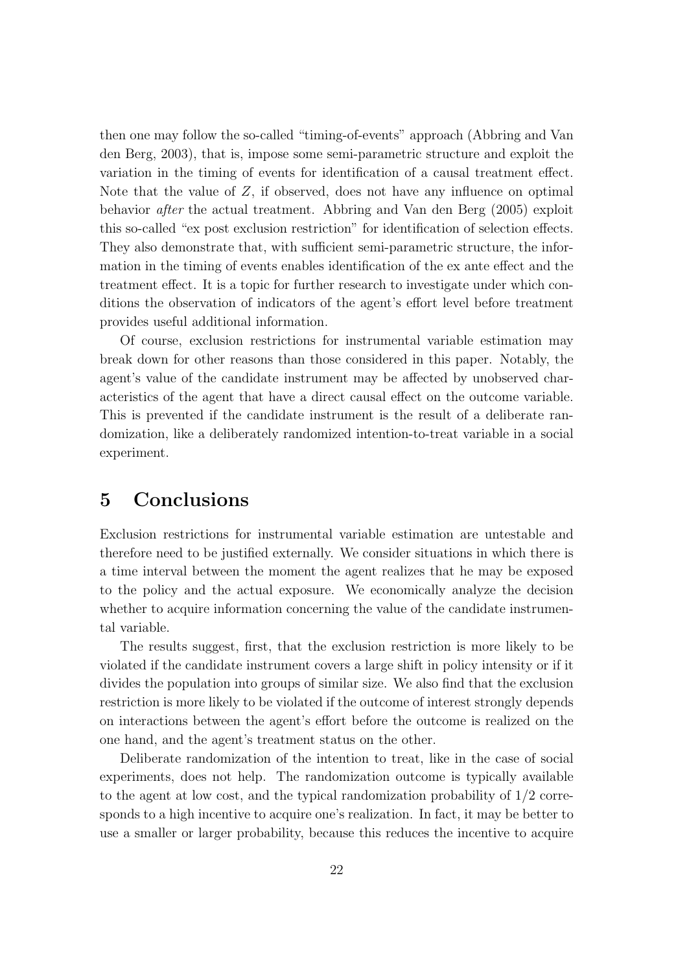then one may follow the so-called "timing-of-events" approach (Abbring and Van den Berg, 2003), that is, impose some semi-parametric structure and exploit the variation in the timing of events for identification of a causal treatment effect. Note that the value of  $Z$ , if observed, does not have any influence on optimal behavior after the actual treatment. Abbring and Van den Berg (2005) exploit this so-called "ex post exclusion restriction" for identification of selection effects. They also demonstrate that, with sufficient semi-parametric structure, the information in the timing of events enables identification of the ex ante effect and the treatment effect. It is a topic for further research to investigate under which conditions the observation of indicators of the agent's effort level before treatment provides useful additional information.

Of course, exclusion restrictions for instrumental variable estimation may break down for other reasons than those considered in this paper. Notably, the agent's value of the candidate instrument may be affected by unobserved characteristics of the agent that have a direct causal effect on the outcome variable. This is prevented if the candidate instrument is the result of a deliberate randomization, like a deliberately randomized intention-to-treat variable in a social experiment.

## 5 Conclusions

Exclusion restrictions for instrumental variable estimation are untestable and therefore need to be justified externally. We consider situations in which there is a time interval between the moment the agent realizes that he may be exposed to the policy and the actual exposure. We economically analyze the decision whether to acquire information concerning the value of the candidate instrumental variable.

The results suggest, first, that the exclusion restriction is more likely to be violated if the candidate instrument covers a large shift in policy intensity or if it divides the population into groups of similar size. We also find that the exclusion restriction is more likely to be violated if the outcome of interest strongly depends on interactions between the agent's effort before the outcome is realized on the one hand, and the agent's treatment status on the other.

Deliberate randomization of the intention to treat, like in the case of social experiments, does not help. The randomization outcome is typically available to the agent at low cost, and the typical randomization probability of 1/2 corresponds to a high incentive to acquire one's realization. In fact, it may be better to use a smaller or larger probability, because this reduces the incentive to acquire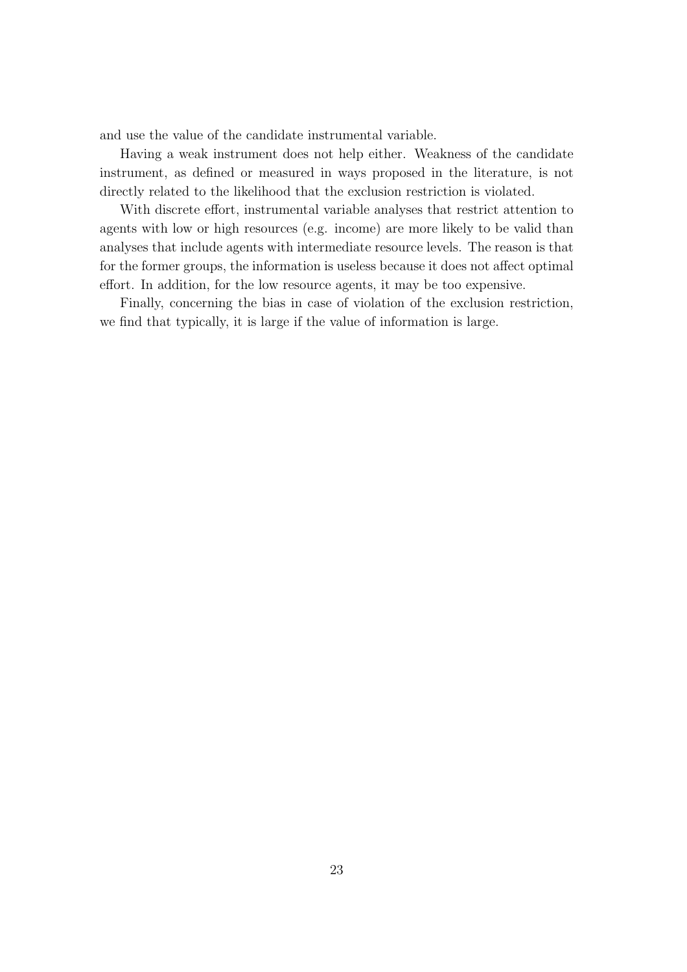and use the value of the candidate instrumental variable.

Having a weak instrument does not help either. Weakness of the candidate instrument, as defined or measured in ways proposed in the literature, is not directly related to the likelihood that the exclusion restriction is violated.

With discrete effort, instrumental variable analyses that restrict attention to agents with low or high resources (e.g. income) are more likely to be valid than analyses that include agents with intermediate resource levels. The reason is that for the former groups, the information is useless because it does not affect optimal effort. In addition, for the low resource agents, it may be too expensive.

Finally, concerning the bias in case of violation of the exclusion restriction, we find that typically, it is large if the value of information is large.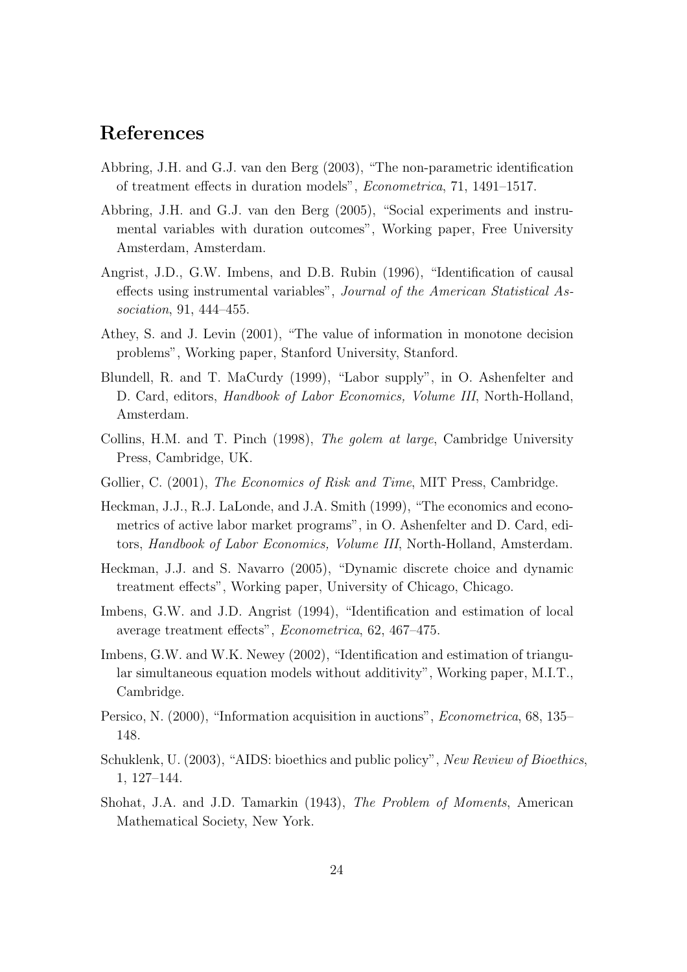## References

- Abbring, J.H. and G.J. van den Berg (2003), "The non-parametric identification of treatment effects in duration models", Econometrica, 71, 1491–1517.
- Abbring, J.H. and G.J. van den Berg (2005), "Social experiments and instrumental variables with duration outcomes", Working paper, Free University Amsterdam, Amsterdam.
- Angrist, J.D., G.W. Imbens, and D.B. Rubin (1996), "Identification of causal effects using instrumental variables", Journal of the American Statistical Association, 91, 444–455.
- Athey, S. and J. Levin (2001), "The value of information in monotone decision problems", Working paper, Stanford University, Stanford.
- Blundell, R. and T. MaCurdy (1999), "Labor supply", in O. Ashenfelter and D. Card, editors, *Handbook of Labor Economics, Volume III*, North-Holland, Amsterdam.
- Collins, H.M. and T. Pinch (1998), The golem at large, Cambridge University Press, Cambridge, UK.
- Gollier, C. (2001), *The Economics of Risk and Time*, MIT Press, Cambridge.
- Heckman, J.J., R.J. LaLonde, and J.A. Smith (1999), "The economics and econometrics of active labor market programs", in O. Ashenfelter and D. Card, editors, Handbook of Labor Economics, Volume III, North-Holland, Amsterdam.
- Heckman, J.J. and S. Navarro (2005), "Dynamic discrete choice and dynamic treatment effects", Working paper, University of Chicago, Chicago.
- Imbens, G.W. and J.D. Angrist (1994), "Identification and estimation of local average treatment effects", Econometrica, 62, 467–475.
- Imbens, G.W. and W.K. Newey (2002), "Identification and estimation of triangular simultaneous equation models without additivity", Working paper, M.I.T., Cambridge.
- Persico, N. (2000), "Information acquisition in auctions", Econometrica, 68, 135– 148.
- Schuklenk, U. (2003), "AIDS: bioethics and public policy", New Review of Bioethics, 1, 127–144.
- Shohat, J.A. and J.D. Tamarkin (1943), The Problem of Moments, American Mathematical Society, New York.